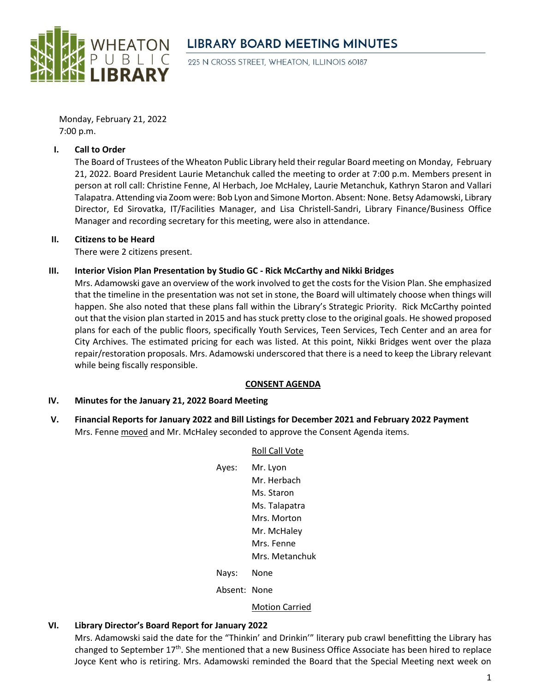

# **LIBRARY BOARD MEETING MINUTES**

225 N CROSS STREET, WHEATON, ILLINOIS 60187

Monday, February 21, 2022 7:00 p.m.

### **I. Call to Order**

The Board of Trustees of the Wheaton Public Library held their regular Board meeting on Monday, February 21, 2022. Board President Laurie Metanchuk called the meeting to order at 7:00 p.m. Members present in person at roll call: Christine Fenne, Al Herbach, Joe McHaley, Laurie Metanchuk, Kathryn Staron and Vallari Talapatra. Attending via Zoom were: Bob Lyon and Simone Morton. Absent: None. Betsy Adamowski, Library Director, Ed Sirovatka, IT/Facilities Manager, and Lisa Christell-Sandri, Library Finance/Business Office Manager and recording secretary for this meeting, were also in attendance.

### **II. Citizens to be Heard**

There were 2 citizens present.

### **III. Interior Vision Plan Presentation by Studio GC - Rick McCarthy and Nikki Bridges**

Mrs. Adamowski gave an overview of the work involved to get the costs for the Vision Plan. She emphasized that the timeline in the presentation was not set in stone, the Board will ultimately choose when things will happen. She also noted that these plans fall within the Library's Strategic Priority. Rick McCarthy pointed out that the vision plan started in 2015 and has stuck pretty close to the original goals. He showed proposed plans for each of the public floors, specifically Youth Services, Teen Services, Tech Center and an area for City Archives. The estimated pricing for each was listed. At this point, Nikki Bridges went over the plaza repair/restoration proposals. Mrs. Adamowski underscored that there is a need to keep the Library relevant while being fiscally responsible.

#### **CONSENT AGENDA**

#### **IV. Minutes for the January 21, 2022 Board Meeting**

**V. Financial Reports for January 2022 and Bill Listings for December 2021 and February 2022 Payment** Mrs. Fenne moved and Mr. McHaley seconded to approve the Consent Agenda items.

## Roll Call Vote

| Ayes:        | Mr. Lyon              |
|--------------|-----------------------|
|              | Mr. Herbach           |
|              | Ms. Staron            |
|              | Ms. Talapatra         |
|              | Mrs. Morton           |
|              | Mr. McHalev           |
|              | Mrs. Fenne            |
|              | Mrs. Metanchuk        |
| Nays:        | None                  |
| Absent: None |                       |
|              | <b>Motion Carried</b> |
|              |                       |

## **VI. Library Director's Board Report for January 2022**

Mrs. Adamowski said the date for the "Thinkin' and Drinkin'" literary pub crawl benefitting the Library has changed to September 17<sup>th</sup>. She mentioned that a new Business Office Associate has been hired to replace Joyce Kent who is retiring. Mrs. Adamowski reminded the Board that the Special Meeting next week on